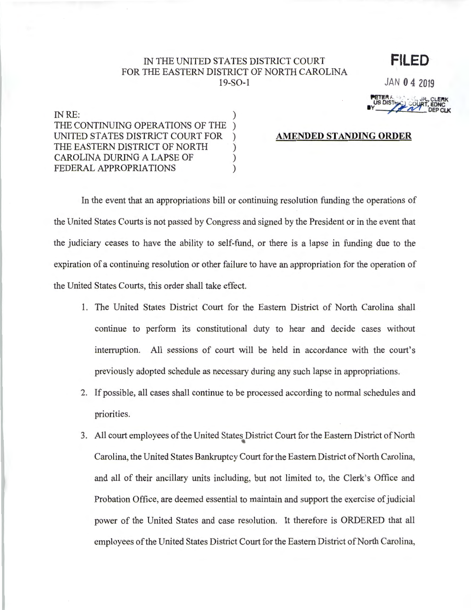## IN THE UNITED STATES DISTRICT COURT FOR THE EASTERN DISTRICT OF NORTH CAROLINA 19-S0-1

**FILED** 

JAN 0 4 2019

**PETER**<br>US DISTHE COURT, EDNC

IN RE: DEPCLK THE CONTINUING OPERATIONS OF THE ) UNITED STATES DISTRICT COURT FOR ) AMENDED STANDING ORDER THE EASTERN DISTRICT OF NORTH CAROLINA DURING A LAPSE OF  $($ FEDERAL APPROPRIATIONS )

In the event that an appropriations bill or continuing resolution funding the operations of the United States Courts is not passed by Congress and signed by the President or in the event that the judiciary ceases to have the ability to self-fund, or there is a lapse in funding due to the expiration of a continuing resolution or other failure to have an appropriation for the operation of the United States Courts, this order shall take effect.

- 1. The United States District Court for the Eastern District of North Carolina shall continue to perform its constitutional duty to hear and decide cases without interruption. All sessions of court will be held in accordance with the court's previously adopted schedule as necessary during any such lapse in appropriations.
- 2. If possible, all cases shall continue to be processed according to normal schedules and priorities.
- 3. All court employees of the United States District Court for the Eastern District of North Carolina, the United States Bankruptcy Court for the Eastern District of North Carolina, and all of their ancillary units including, but not limited to, the Clerk's Office and Probation Office, are deemed essential to maintain and support the exercise of judicial power of the United States and case resolution. It therefore is ORDERED that all employees of the United States District Court for the Eastern District of North Carolina,